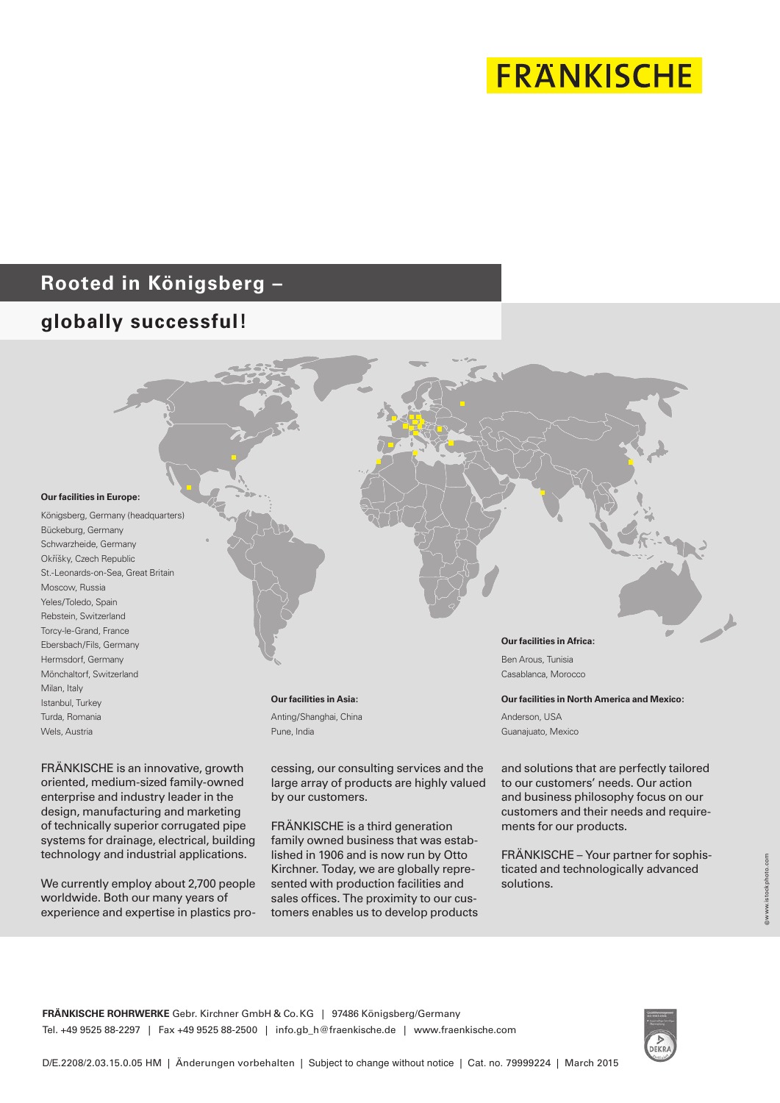# **FRANKISCHE**

# **Rooted in Königsberg –**

# **globally successful!**



FRÄNKISCHE is an innovative, growth oriented, medium-sized family-owned enterprise and industry leader in the design, manufacturing and marketing of technically superior corrugated pipe systems for drainage, electrical, building technology and industrial applications.

We currently employ about 2,700 people worldwide. Both our many years of experience and expertise in plastics processing, our consulting services and the large array of products are highly valued by our customers.

FRÄNKISCHE is a third generation family owned business that was established in 1906 and is now run by Otto Kirchner. Today, we are globally represented with production facilities and sales offices. The proximity to our customers enables us to develop products

and solutions that are perfectly tailored to our customers' needs. Our action and business philosophy focus on our customers and their needs and requirements for our products.

FRÄNKISCHE – Your partner for sophisticated and technologically advanced solutions.

**FRÄNKISCHE ROHRWERKE** Gebr. Kirchner GmbH & Co.KG | 97486 Königsberg/Germany Tel. +49 9525 88-2297 | Fax +49 9525 88-2500 | info.gb\_h@fraenkische.de | www.fraenkische.com

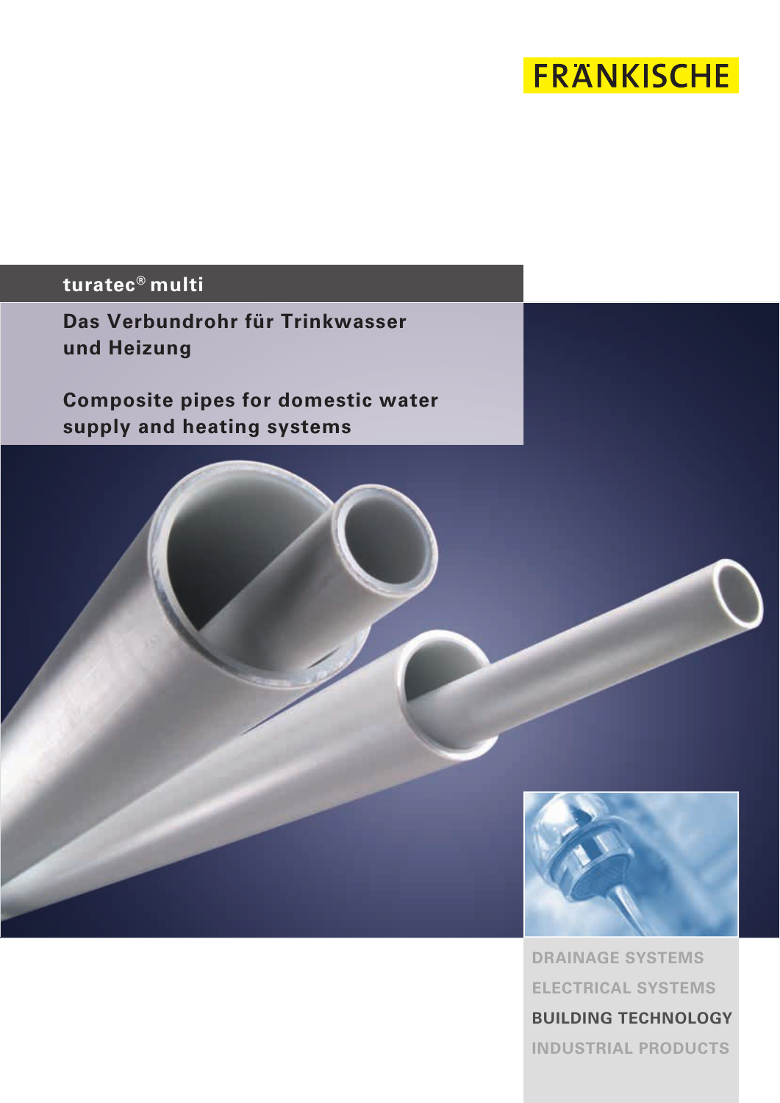# **FRANKISCHE**

# **turatec® multi**

**Das Verbundrohr für Trinkwasser und Heizung**

**Composite pipes for domestic water supply and heating systems**



**DRAINAGE SYSTEMS ELECTRICAL SYSTEMS BUILDING TECHNOLOGY INDUSTRIAL PRODUCTS**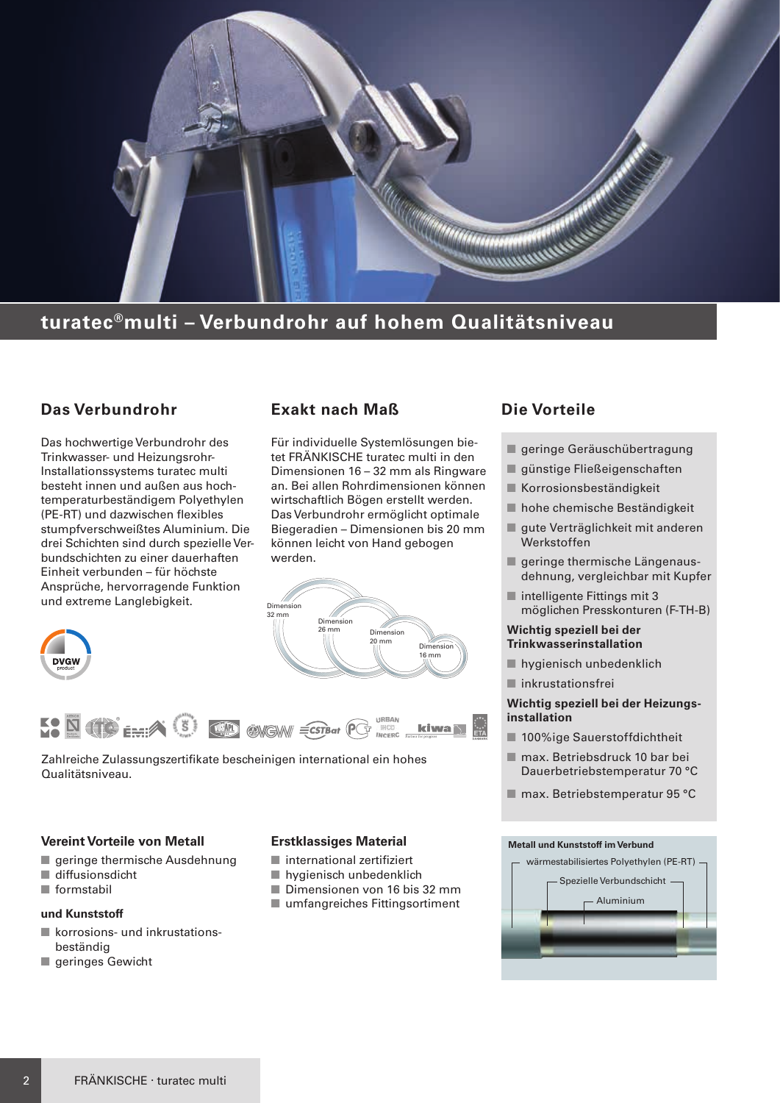

## **turatec®multi – Verbundrohr auf hohem Qualitätsniveau**

## **Das Verbundrohr**

Das hochwertige Verbundrohr des Trinkwasser- und Heizungsrohr-Installationssystems turatec multi besteht innen und außen aus hochtemperaturbeständigem Polyethylen (PE-RT) und dazwischen flexibles stumpfverschweißtes Aluminium. Die drei Schichten sind durch spezielle Verbundschichten zu einer dauerhaften Einheit verbunden – für höchste Ansprüche, hervorragende Funktion und extreme Langlebigkeit.

## **Exakt nach Maß**

Für individuelle Systemlösungen bietet FRÄNKISCHE turatec multi in den Dimensionen 16 – 32 mm als Ringware an. Bei allen Rohrdimensionen können wirtschaftlich Bögen erstellt werden. Das Verbundrohr ermöglicht optimale Biegeradien – Dimensionen bis 20 mm können leicht von Hand gebogen werden.







Zahlreiche Zulassungszertifikate bescheinigen international ein hohes Qualitätsniveau.

#### **Vereint Vorteile von Metall**

- $\blacksquare$  geringe thermische Ausdehnung
- $\blacksquare$  diffusionsdicht
- $\blacksquare$  formstabil

#### **und Kunststoff**

- $\blacksquare$  korrosions- und inkrustationsbeständig
- geringes Gewicht

#### **Erstklassiges Material**

- $\blacksquare$  international zertifiziert
- $\blacksquare$  hygienisch unbedenklich
- Dimensionen von 16 bis 32 mm
- $\blacksquare$  umfangreiches Fittingsortiment

## **Die Vorteile**

- geringe Geräuschübertragung
- günstige Fließeigenschaften
- $\blacksquare$  Korrosionsbeständigkeit
- n hohe chemische Beständigkeit
- gute Verträglichkeit mit anderen Werkstoffen
- geringe thermische Längenausdehnung, vergleichbar mit Kupfer
- $\blacksquare$  intelligente Fittings mit 3 möglichen Presskonturen (F-TH-B)

#### **Wichtig speziell bei der Trinkwasserinstallation**

- $\blacksquare$  hygienisch unbedenklich
- $\blacksquare$  inkrustationsfrei

#### **Wichtig speziell bei der Heizungsinstallation**

- 100%ige Sauerstoffdichtheit
- max. Betriebsdruck 10 bar bei Dauerbetriebstemperatur 70 °C
- $\blacksquare$  max. Betriebstemperatur 95 °C

#### **Metall und Kunststoff im Verbund**